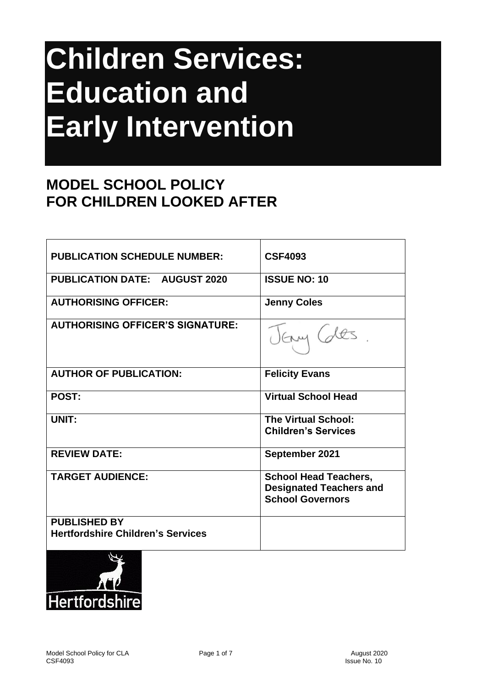# **Children Services: Education and Early Intervention**

## **MODEL SCHOOL POLICY FOR CHILDREN LOOKED AFTER**

| <b>PUBLICATION SCHEDULE NUMBER:</b>                             | <b>CSF4093</b>                                                                            |
|-----------------------------------------------------------------|-------------------------------------------------------------------------------------------|
| <b>PUBLICATION DATE: AUGUST 2020</b>                            | <b>ISSUE NO: 10</b>                                                                       |
| <b>AUTHORISING OFFICER:</b>                                     | <b>Jenny Coles</b>                                                                        |
| <b>AUTHORISING OFFICER'S SIGNATURE:</b>                         |                                                                                           |
| <b>AUTHOR OF PUBLICATION:</b>                                   | <b>Felicity Evans</b>                                                                     |
| <b>POST:</b>                                                    | <b>Virtual School Head</b>                                                                |
| UNIT:                                                           | <b>The Virtual School:</b><br><b>Children's Services</b>                                  |
| <b>REVIEW DATE:</b>                                             | September 2021                                                                            |
| <b>TARGET AUDIENCE:</b>                                         | <b>School Head Teachers,</b><br><b>Designated Teachers and</b><br><b>School Governors</b> |
| <b>PUBLISHED BY</b><br><b>Hertfordshire Children's Services</b> |                                                                                           |

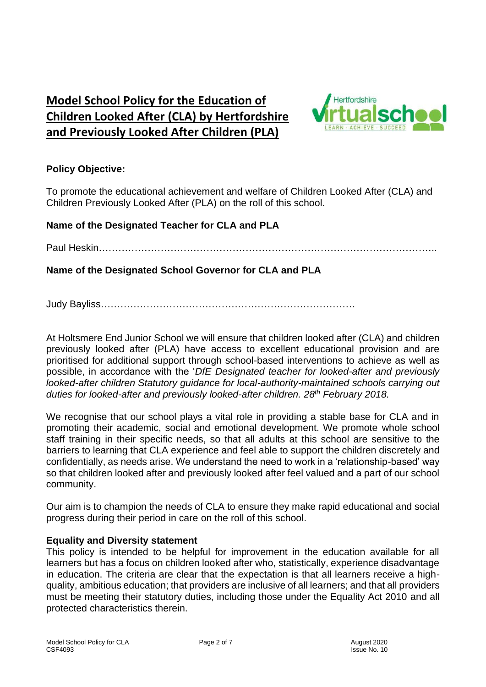### **Model School Policy for the Education of Children Looked After (CLA) by Hertfordshire and Previously Looked After Children (PLA)**



#### **Policy Objective:**

To promote the educational achievement and welfare of Children Looked After (CLA) and Children Previously Looked After (PLA) on the roll of this school.

#### **Name of the Designated Teacher for CLA and PLA**

Paul Heskin…………………………………………………………………………………………..

**Name of the Designated School Governor for CLA and PLA**

Judy Bayliss……………………………………………………………………

At Holtsmere End Junior School we will ensure that children looked after (CLA) and children previously looked after (PLA) have access to excellent educational provision and are prioritised for additional support through school-based interventions to achieve as well as possible, in accordance with the '*DfE Designated teacher for looked-after and previously looked-after children Statutory guidance for local-authority-maintained schools carrying out duties for looked-after and previously looked-after children. 28th February 2018.*

We recognise that our school plays a vital role in providing a stable base for CLA and in promoting their academic, social and emotional development. We promote whole school staff training in their specific needs, so that all adults at this school are sensitive to the barriers to learning that CLA experience and feel able to support the children discretely and confidentially, as needs arise. We understand the need to work in a 'relationship-based' way so that children looked after and previously looked after feel valued and a part of our school community.

Our aim is to champion the needs of CLA to ensure they make rapid educational and social progress during their period in care on the roll of this school.

#### **Equality and Diversity statement**

This policy is intended to be helpful for improvement in the education available for all learners but has a focus on children looked after who, statistically, experience disadvantage in education. The criteria are clear that the expectation is that all learners receive a highquality, ambitious education; that providers are inclusive of all learners; and that all providers must be meeting their statutory duties, including those under the Equality Act 2010 and all protected characteristics therein.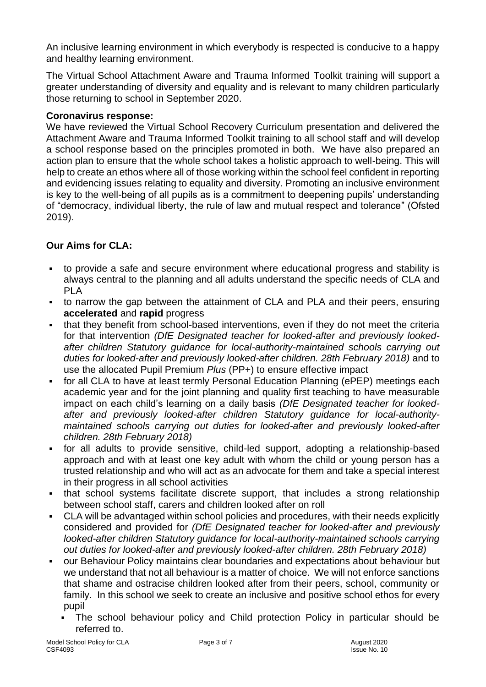An inclusive learning environment in which everybody is respected is conducive to a happy and healthy learning environment.

The Virtual School Attachment Aware and Trauma Informed Toolkit training will support a greater understanding of diversity and equality and is relevant to many children particularly those returning to school in September 2020.

#### **Coronavirus response:**

We have reviewed the Virtual School Recovery Curriculum presentation and delivered the Attachment Aware and Trauma Informed Toolkit training to all school staff and will develop a school response based on the principles promoted in both. We have also prepared an action plan to ensure that the whole school takes a holistic approach to well-being. This will help to create an ethos where all of those working within the school feel confident in reporting and evidencing issues relating to equality and diversity. Promoting an inclusive environment is key to the well-being of all pupils as is a commitment to deepening pupils' understanding of "democracy, individual liberty, the rule of law and mutual respect and tolerance" (Ofsted 2019).

#### **Our Aims for CLA:**

- to provide a safe and secure environment where educational progress and stability is always central to the planning and all adults understand the specific needs of CLA and PLA
- to narrow the gap between the attainment of CLA and PLA and their peers, ensuring **accelerated** and **rapid** progress
- that they benefit from school-based interventions, even if they do not meet the criteria for that intervention *(DfE Designated teacher for looked-after and previously lookedafter children Statutory guidance for local-authority-maintained schools carrying out*  duties for looked-after and previously looked-after children. 28th February 2018) and to use the allocated Pupil Premium *Plus* (PP+) to ensure effective impact
- for all CLA to have at least termly Personal Education Planning (ePEP) meetings each academic year and for the joint planning and quality first teaching to have measurable impact on each child's learning on a daily basis *(DfE Designated teacher for lookedafter and previously looked-after children Statutory guidance for local-authoritymaintained schools carrying out duties for looked-after and previously looked-after children. 28th February 2018)*
- for all adults to provide sensitive, child-led support, adopting a relationship-based approach and with at least one key adult with whom the child or young person has a trusted relationship and who will act as an advocate for them and take a special interest in their progress in all school activities
- that school systems facilitate discrete support, that includes a strong relationship between school staff, carers and children looked after on roll
- CLA will be advantaged within school policies and procedures, with their needs explicitly considered and provided for *(DfE Designated teacher for looked-after and previously looked-after children Statutory guidance for local-authority-maintained schools carrying out duties for looked-after and previously looked-after children. 28th February 2018)*
- our Behaviour Policy maintains clear boundaries and expectations about behaviour but we understand that not all behaviour is a matter of choice. We will not enforce sanctions that shame and ostracise children looked after from their peers, school, community or family. In this school we seek to create an inclusive and positive school ethos for every pupil
	- The school behaviour policy and Child protection Policy in particular should be referred to.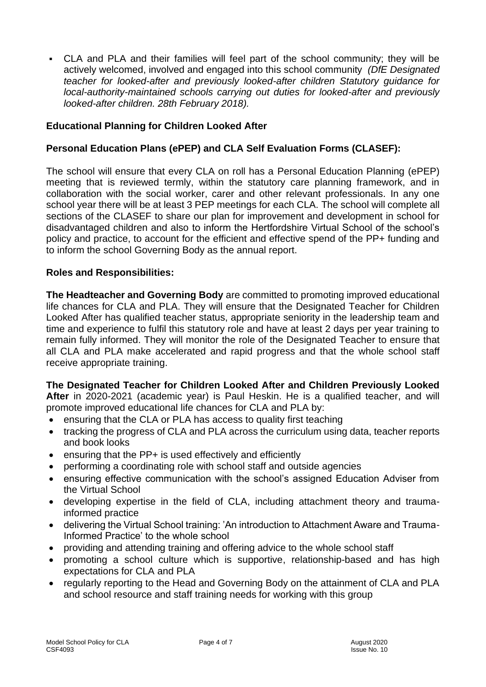• CLA and PLA and their families will feel part of the school community; they will be actively welcomed, involved and engaged into this school community *(DfE Designated teacher for looked-after and previously looked-after children Statutory guidance for local-authority-maintained schools carrying out duties for looked-after and previously looked-after children. 28th February 2018).*

#### **Educational Planning for Children Looked After**

#### **Personal Education Plans (ePEP) and CLA Self Evaluation Forms (CLASEF):**

The school will ensure that every CLA on roll has a Personal Education Planning (ePEP) meeting that is reviewed termly, within the statutory care planning framework, and in collaboration with the social worker, carer and other relevant professionals. In any one school year there will be at least 3 PEP meetings for each CLA. The school will complete all sections of the CLASEF to share our plan for improvement and development in school for disadvantaged children and also to inform the Hertfordshire Virtual School of the school's policy and practice, to account for the efficient and effective spend of the PP+ funding and to inform the school Governing Body as the annual report.

#### **Roles and Responsibilities:**

**The Headteacher and Governing Body** are committed to promoting improved educational life chances for CLA and PLA. They will ensure that the Designated Teacher for Children Looked After has qualified teacher status, appropriate seniority in the leadership team and time and experience to fulfil this statutory role and have at least 2 days per year training to remain fully informed. They will monitor the role of the Designated Teacher to ensure that all CLA and PLA make accelerated and rapid progress and that the whole school staff receive appropriate training.

**The Designated Teacher for Children Looked After and Children Previously Looked After** in 2020-2021 (academic year) is Paul Heskin. He is a qualified teacher, and will promote improved educational life chances for CLA and PLA by:

- ensuring that the CLA or PLA has access to quality first teaching
- tracking the progress of CLA and PLA across the curriculum using data, teacher reports and book looks
- ensuring that the PP+ is used effectively and efficiently
- performing a coordinating role with school staff and outside agencies
- ensuring effective communication with the school's assigned Education Adviser from the Virtual School
- developing expertise in the field of CLA, including attachment theory and traumainformed practice
- delivering the Virtual School training: 'An introduction to Attachment Aware and Trauma-Informed Practice' to the whole school
- providing and attending training and offering advice to the whole school staff
- promoting a school culture which is supportive, relationship-based and has high expectations for CLA and PLA
- regularly reporting to the Head and Governing Body on the attainment of CLA and PLA and school resource and staff training needs for working with this group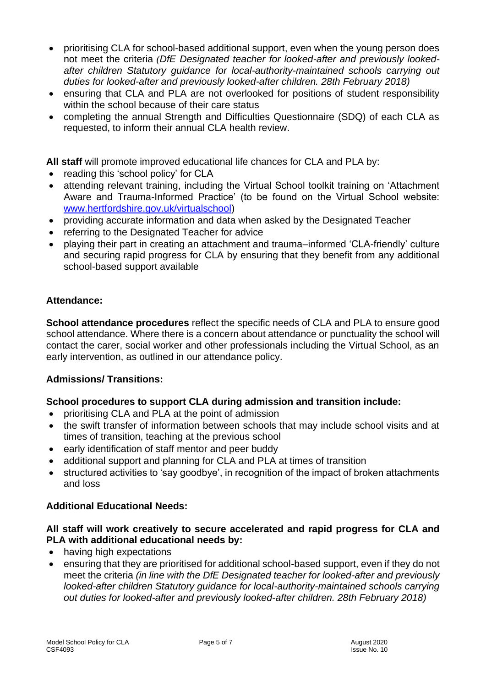- prioritising CLA for school-based additional support, even when the young person does not meet the criteria *(DfE Designated teacher for looked-after and previously lookedafter children Statutory guidance for local-authority-maintained schools carrying out duties for looked-after and previously looked-after children. 28th February 2018)*
- ensuring that CLA and PLA are not overlooked for positions of student responsibility within the school because of their care status
- completing the annual Strength and Difficulties Questionnaire (SDQ) of each CLA as requested, to inform their annual CLA health review.

**All staff** will promote improved educational life chances for CLA and PLA by:

- reading this 'school policy' for CLA
- attending relevant training, including the Virtual School toolkit training on 'Attachment Aware and Trauma-Informed Practice' (to be found on the Virtual School website: [www.hertfordshire.gov.uk/virtualschool\)](http://www.hertfordshire.gov.uk/virtualschool)
- providing accurate information and data when asked by the Designated Teacher
- referring to the Designated Teacher for advice
- playing their part in creating an attachment and trauma–informed 'CLA-friendly' culture and securing rapid progress for CLA by ensuring that they benefit from any additional school-based support available

#### **Attendance:**

**School attendance procedures** reflect the specific needs of CLA and PLA to ensure good school attendance. Where there is a concern about attendance or punctuality the school will contact the carer, social worker and other professionals including the Virtual School, as an early intervention, as outlined in our attendance policy.

#### **Admissions/ Transitions:**

#### **School procedures to support CLA during admission and transition include:**

- prioritising CLA and PLA at the point of admission
- the swift transfer of information between schools that may include school visits and at times of transition, teaching at the previous school
- early identification of staff mentor and peer buddy
- additional support and planning for CLA and PLA at times of transition
- structured activities to 'say goodbye', in recognition of the impact of broken attachments and loss

#### **Additional Educational Needs:**

#### **All staff will work creatively to secure accelerated and rapid progress for CLA and PLA with additional educational needs by:**

- having high expectations
- ensuring that they are prioritised for additional school-based support, even if they do not meet the criteria *(in line with the DfE Designated teacher for looked-after and previously looked-after children Statutory guidance for local-authority-maintained schools carrying out duties for looked-after and previously looked-after children. 28th February 2018)*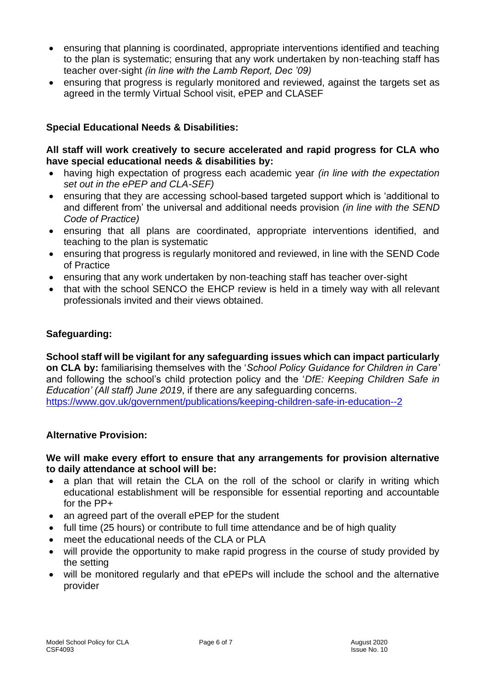- ensuring that planning is coordinated, appropriate interventions identified and teaching to the plan is systematic; ensuring that any work undertaken by non-teaching staff has teacher over-sight *(in line with the Lamb Report, Dec '09)*
- ensuring that progress is regularly monitored and reviewed, against the targets set as agreed in the termly Virtual School visit, ePEP and CLASEF

#### **Special Educational Needs & Disabilities:**

#### **All staff will work creatively to secure accelerated and rapid progress for CLA who have special educational needs & disabilities by:**

- having high expectation of progress each academic year *(in line with the expectation set out in the ePEP and CLA-SEF)*
- ensuring that they are accessing school-based targeted support which is 'additional to and different from' the universal and additional needs provision *(in line with the SEND Code of Practice)*
- ensuring that all plans are coordinated, appropriate interventions identified, and teaching to the plan is systematic
- ensuring that progress is regularly monitored and reviewed, in line with the SEND Code of Practice
- ensuring that any work undertaken by non-teaching staff has teacher over-sight
- that with the school SENCO the EHCP review is held in a timely way with all relevant professionals invited and their views obtained.

#### **Safeguarding:**

**School staff will be vigilant for any safeguarding issues which can impact particularly on CLA by:** familiarising themselves with the '*School Policy Guidance for Children in Care'* and following the school's child protection policy and the '*DfE: Keeping Children Safe in Education' (All staff) June 2019*, if there are any safeguarding concerns. <https://www.gov.uk/government/publications/keeping-children-safe-in-education--2>

#### **Alternative Provision:**

#### **We will make every effort to ensure that any arrangements for provision alternative to daily attendance at school will be:**

- a plan that will retain the CLA on the roll of the school or clarify in writing which educational establishment will be responsible for essential reporting and accountable for the PP+
- an agreed part of the overall ePEP for the student
- full time (25 hours) or contribute to full time attendance and be of high quality
- meet the educational needs of the CLA or PLA
- will provide the opportunity to make rapid progress in the course of study provided by the setting
- will be monitored regularly and that ePEPs will include the school and the alternative provider